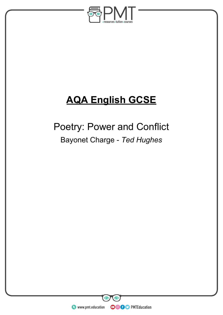

# **AQA English GCSE**

# Poetry: Power and Conflict Bayonet Charge - *Ted Hughes*

**WWW.pmt.education** 

**OOOO** PMTEducation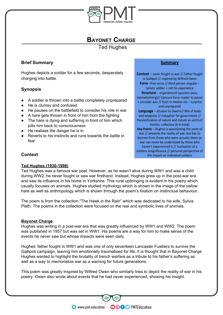

## **BAYONET CHARGE**

Ted Hughes

### **Brief Summary**

Hughes depicts a soldier for a few seconds, desperately charging into battle.

## **Synopsis**

- A soldier is thrown into a battle completely unprepared
- He is clumsy and confused
- He pauses on the battlefield to consider his role in war
- A hare gets thrown in front of him from the fighting
- The hare is dying and suffering in front of him which jolts him back to consciousness
- He realises the danger he is in
- **Reverts to his instincts and runs towards the battle in** fear

#### **Summary**

**Context** - never fought in war // Father fought in Gallipoli // inspired by Wilfred Owen Form -free verse // third person singular isolate soldier + not his experience Structure - enjambment (quicken pace, overwhelming)// Caesura force reader to pause + consider war // Start in medias res - surprise and unprepared Language - allusion to Owens// Mix of body and weapons // metaphor for government // Personification of nature and nature as victim// Similes-collective (6 in total) Key Points - Hughes is questioning the point of war // presents the reality of war, but has to borrow from those who were actually there as war can never be understood by those who haven't experienced it // realisation of a soldiers insignificance // personal perspective of the impact on individual soldiers

### **Context**

#### **Ted Hughes (1930-1998)**

Ted Hughes was a famous war poet. However, as he wasn't alive during WW1 and was a child during WW2, he never fought or saw war firsthand. Instead, Hughes grew up in the post-war era and saw its influence in his home in Yorkshire. This rural upbringing is evident in his poetry which usually focuses on animals. Hughes studied mythology which is shown in the image of the yellow hare as well as anthropology which is shown through the poem's fixation on instinctual behaviour.

The poem is from the collection "The Hawk in the Rain" which was dedicated to his wife, Sylvia Plath. The poems in the collection were focused on the real and symbolic lives of animals.

#### **Bayonet Charge**

Hughes was writing in a post-war era that was greatly influenced by WW1 and WW2. The poem was published in 1957 but was set in WW1. His poems are a way for him to make sense of the events he never saw but whose impacts were seen daily

Hughes' father fought in WW1 and was one of only seventeen Lancaster Fusiliers to survive the Gallipoli campaign, leaving him emotionally traumatised for life. It is thought that in Bayonet Charge Hughes wanted to highlight the brutality of trench warfare as a tribute to his father's suffering as well as a way to memorialize war as a warning for future generations.

This poem was greatly inspired by Wilfred Owen who similarly tries to depict the reality of war in his poetry. Owen also wrote about events that he had never experienced, showing his insight.

**OOOO** PMTEducation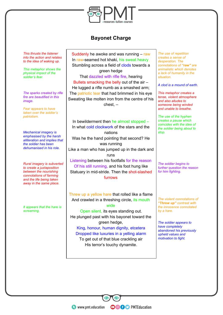

## **Bayonet Charge**

*This thrusts the listener into the action and relates to the idea of waking up.*

*This metaphor shows the physical impact of the soldier's fear.*

*The sparks created by rifle fire are beautified in this image.*

*Fear appears to have taken over the soldier's patriotism.*

*Mechanical imagery is emphasised by the harsh alliteration and implies that the soldier has been dehumanised in his role.*

*Rural imagery is subverted to create a juxtaposition between the nourishing connotations of farming and the life being taken away in the same place.*

*It appears that the hare is screaming.*

Suddenly he awoke and was running – raw In raw-seamed hot khaki, his sweat heavy, Stumbling across a field of clods towards a green hedge That dazzled with rifle fire, hearing Bullets smacking the belly out of the air – He lugged a rifle numb as a smashed arm; The patriotic tear that had brimmed in his eye Sweating like molten iron from the centre of his chest, –

In bewilderment then he almost stopped – In what cold clockwork of the stars and the nations Was he the hand pointing that second? He was running Like a man who has jumped up in the dark and runs Listening between his footfalls for the reason Of his still running, and his foot hung like Statuary in mid-stride. Then the shot-slashed

furrows

Threw up a yellow hare that rolled like a flame And crawled in a threshing circle, its mouth

wide

Open silent, its eyes standing out. He plunged past with his bayonet toward the green hedge,

King, honour, human dignity, etcetera Dropped like luxuries in a yelling alarm

To get out of that blue crackling air His terror's touchy dynamite.

**OOOO** PMTEducation

*The use of repetition creates a sense of desperation. The connotations of "raw" are animalistic which denotes a lack of humanity in the situation.*

*A clod is a mound of earth.*

*This metaphor creates a tense, violent atmosphere and also alludes to someone being winded and unable to breathe.*

*The use of the hyphen creates a pause which coincides with the idea of the soldier being about to stop.*

*The soldier begins to further question the reason for him fighting.*

*The violent connotations of "Threw up" contrast with the innocence connotated by a hare.*

*The soldier appears to have completely abandoned his previously upheld values and motivation to fight.*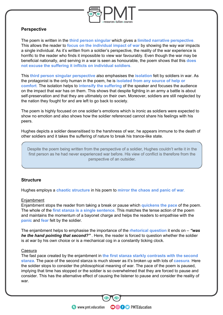

#### **Perspective**

The poem is written in the **third person singular** which gives a **limited narrative perspective**. This allows the reader to **focus on the individual impact of war** by showing the way war impacts a single individual. As it's written from a soldier's perspective, the reality of the war experience is horrific to the reader who finds it impossible to view war favourably. Even though the war may be beneficial nationally, and serving in a war is seen as honourable, the poem shows that this **does not excuse the suffering it inflicts on individual soldiers**.

This **third person singular perspective** also emphasises the **isolation** felt by soldiers in war. As the protagonist is the only human in the poem, he is **isolated from any source of help or comfort**. The isolation helps to **intensify the suffering** of the speaker and focuses the audience on the impact that war has on them. This shows that despite fighting in an army a battle is about self-preservation and that they are ultimately on their own. Moreover, soldiers are still neglected by the nation they fought for and are left to go back to society.

The poem is highly focused on one soldier's emotions which is ironic as soldiers were expected to show no emotion and also shows how the soldier referenced cannot share his feelings with his peers.

Hughes depicts a soldier desensitised to the harshness of war, he appears immune to the death of other soldiers and it takes the suffering of nature to break his trance-like state.

Despite the poem being written from the perspective of a soldier, Hughes couldn't write it in the first person as he had never experienced war before. His view of conflict is therefore from the perspective of an outsider.

#### **Structure**

Hughes employs a **chaotic structure** in his poem to **mirror the chaos and panic of war**.

#### **Enjambment**

Enjambment stops the reader from taking a break or pause which **quickens the pace** of the poem. The whole of the **first stanza is a single sentence**. This matches the tense action of the poem and maintains the momentum of a bayonet charge and helps the readers to empathise with the **panic** and **fear** felt by the soldier.

The enjambment helps to emphasise the importance of the **rhetorical question** it ends on – *"was he the hand pointing that second?"* . Here, the reader is forced to question whether the soldier is at war by his own choice or is a mechanical cog in a constantly ticking clock.

#### **Caesura**

The fast pace created by the enjambment in **the first stanza starkly contrasts with the second stanza.** The pace of the second stanza is much slower as it's broken up with lots of **caesura**. Here the soldier stops to consider the philosophical meaning of war. The pace of the poem is paused, implying that time has stopped or the soldier is so overwhelmed that they are forced to pause and consider. This has the alternative effect of causing the listener to pause and consider the reality of war.

**OOOO** PMTEducation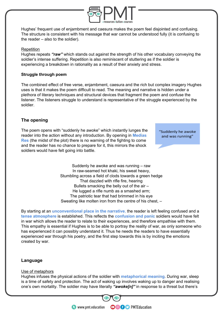

Hughes' frequent use of enjambment and caesura makes the poem feel disjointed and confusing. The structure is consistent with his message that war cannot be understood fully (it is confusing to the reader – also to the soldier).

#### Repetition

Hughes repeats *"raw"* which stands out against the strength of his other vocabulary conveying the soldier's intense suffering. Repetition is also reminiscent of stuttering as if the soldier is experiencing a breakdown in rationality as a result of their anxiety and stress.

#### **Struggle through poem**

The combined effect of free verse, enjambment, caesura and the rich but complex imagery Hughes uses is that it makes the poem difficult to read. The meaning and narrative is hidden under a plethora of literary techniques and structural devices that fragment the poem and confuse the listener. The listeners struggle to understand is representative of the struggle experienced by the soldier.

#### **The opening**

The poem opens with "suddenly he awoke" which instantly lunges the reader into the action without any introduction. By opening in **Medias Res** (the midst of the plot) there is no warning of the fighting to come and the reader has no chance to prepare for it, this mirrors the shock soldiers would have felt going into battle.

"Suddenly he awoke and was running"

Suddenly he awoke and was running – raw In raw-seamed hot khaki, his sweat heavy, Stumbling across a field of clods towards a green hedge That dazzled with rifle fire, hearing Bullets smacking the belly out of the air – He lugged a rifle numb as a smashed arm; The patriotic tear that had brimmed in his eye Sweating like molten iron from the centre of his chest, –

By starting at an **unconventional place in the narrative**, the reader is left feeling confused and a **tense atmosphere** is established. This reflects the **confusion and panic** soldiers would have felt in war which allows the reader to relate to their experiences, and therefore empathise with them. This empathy is essential if Hughes is to be able to portray the reality of war, as only someone who has experienced it can possibly understand it. Thus he needs the readers to have essentially experienced war through his poetry, and the first step towards this is by inciting the emotions created by war.

#### **Language**

#### Use of metaphors

Hughes infuses the physical actions of the soldier with **metaphorical meaning**. During war, sleep is a time of safety and protection. The act of waking up involves waking up to danger and realising one's own mortality. The soldier may have literally *"awoke[n]"* in response to a threat but there's

**OOOO** PMTEducation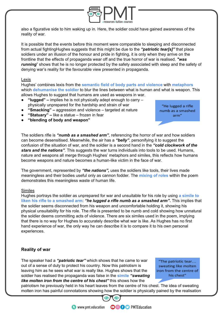

also a figurative side to him waking up in. Here, the soldier could have gained awareness of the reality of war.

It is possible that the events before this moment were comparable to sleeping and disconnected from actual fightingHughes suggests that this might be due to the *"patriotic tear[s]"* that place soldiers under an illusion of the honour and pride in fighting, it is only when they arrive on the frontline that the effects of propaganda wear off and the true horror of war is realised. *"was running*" shows that he is no longer protected by the safety associated with sleep and the safety of denying war's reality for the favourable view presented in propaganda.

#### Lexis

Hughes' combines lexis from the **semantic field of body parts and violence** with **metaphors** which **dehumanise the soldier** to blur the lines between what is human and what is weapon. This allows Hughes to suggest that humans are used as weapons in war.

- **"lugged"** implies he is not physically adept enough to carry physically unprepared for the hardship and strain of war
- **"Smacking"** aggression and violence targeted at nature
- **"Statuary"** like a statue frozen in fear
- **"blending of body and weapon"**

"He lugged a rifle numb as a smashed arm"

The soldiers rifle is *"numb as a smashed arm"*, referencing the horror of war and how soldiers can become desensitised. Meanwhile, the air has a *"belly"*, personifying it to suggest the confusion of the situation of war, and the soldier is a second hand in the *"cold clockwork of the stars and the nations"*. This suggests the war turns individuals into tools to be used. Humans, nature and weapons all merge through Hughes' metaphors and similes, this reflects how humans become weapons and nature becomes a human-like victim in the face of war.

The government, represented by *"the nations",* uses the soldiers like tools, their lives made meaningless and their bodies useful only as cannon fodder. The **mixing of roles** within the poem demonstrates this meaningless waste of human life.

#### Similes

Hughes portrays the soldier as unprepared for war and unsuitable for his role by using **a simile to liken his rifle to a smashed arm**: *"he lugged a rifle numb as a smashed arm".* This implies that the soldier seems disconnected from his weapon and uncomfortable holding it, showing his physical unsuitability for his role. The rifle is presented to be numb and cold showing how unnatural the soldier deems committing acts of violence. There are six similes used in the poem, implying that there is no way for Hughes to accurately describe what war is like. As Hughes has no first hand experience of war, the only way he can describe it is to compare it to his own personal experiences.

#### **Reality of war**

The speaker had a *"patriotic tear"* which shows that he came to war out of a sense of duty to protect his country. Now this patriotism is leaving him as he sees what war is really like. Hughes shows that the soldier has realised the propaganda was false in the **simile** *"sweating like molten iron from the centre of his chest"* this shows how the

"The patriotic tear... sweating like molten iron from the centre of his chest"

patriotism he previously held in his heart leaves from the centre of his chest. The idea of sweating molten iron has painful connotations showing how the soldier is physically pained by the realisation



**OOOO** PMTEducation

**WWW.pmt.education**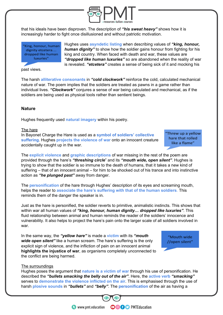

that his ideals have been disproven. The description of *"his sweat heavy"* shows how it is increasingly harder to fight once disillusioned and without patriotic motivation.

King, honour, human dignity etcetera... dropped like human luxuries"

Hughes uses **asyndetic listing** when describing values of *"king, honour, human dignity"* to show how the soldier gains honour from fighting for his king and country. When faced with death and war, these values are *"dropped like human luxuries"* so are abandoned when the reality of war is revealed. *"etcetera"* creates a sense of being sick of it and mocking his

past views.

The harsh **alliterative consonants** in *"cold clockwork"* reinforce the cold, calculated mechanical nature of war. The poem implies that the soldiers are treated as pawns in a game rather than individual lives. *"Clockwork"* conjures a sense of war being calculated and mechanical, as if the soldiers are being used as physical tools rather than sentient beings.

#### **Nature**

Hughes frequently used **natural imagery** within his poetry.

#### The hare

In Bayonet Charge the Hare is used as a **symbol of soldiers' collective suffering**. Hughes **projects the violence of war** onto an innocent creature accidentally caught up in the war.

Threw up a yellow hare that rolled like a flame"

The **explicit violence** and **graphic descriptions** of war missing in the rest of the poem are provided through the hare's *"threshing circle*" and its *"mouth wide, open silent"*. Hughes is trying to show that the soldier is so immune to the death of humans, that it takes a new kind of suffering – that of an innocent animal – for him to be shocked out of his trance and into instinctive action as *"he plunged past"* away from danger.

The **personification** of the hare through Hughes' description of its eyes and screaming mouth, helps the reader to **associate the hare's suffering with that of the human soldiers**. This reminds them of the danger the speaker is in.

Just as the hare is personified, the soldier reverts to primitive, animalistic instincts. This shows that within war all human values of *"king, honour, human dignity… dropped like luxuries"*. This fluid relationship between animal and human reminds the reader of the soldiers' innocence and vulnerability. It also helps to project the hare's pain onto the larger scale of all soldiers involved in war.

In the same way, the *"yellow hare"* is made a **victim** with its *"mouth wide open silent"* like a human scream. The hare's suffering is the only explicit sign of violence, and the infliction of pain on an innocent animal **highlights the injustice of war**, as organisms completely unconnected to the conflict are being harmed.



#### The surroundings

Hughes poses the argument that **nature is a victim of war** through his use of personification. He described the *"bullets smacking the belly out of the air"*. Here, the **active verb** *"smacking"* serves to **demonstrate the violence inflicted on the air**. This is emphasised through the use of harsh **plosive sounds** in *"bullets"* and *"belly"*. The **personification** of the air as having a

**OOOO** PMTEducation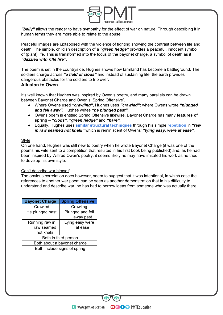

*"belly"* allows the reader to have sympathy for the effect of war on nature. Through describing it in human terms they are more able to relate to the abuse.

Peaceful images are juxtaposed with the violence of fighting showing the contrast between life and death. The simple, childish description of a *"green hedge"* provides a peaceful, innocent symbol of (plant) life. This is transformed into the focus of the bayonet charge, a symbol of death as it *"dazzled with rifle fire".* 

The poem is set in the countryside, Hughes shows how farmland has become a battleground. The soldiers charge across *"a field of clods"* and instead of sustaining life, the earth provides dangerous obstacles for the soldiers to trip over.

#### **Allusion to Owen**

It's well known that Hughes was inspired by Owen's poetry, and many parallels can be drawn between Bayonet Charge and Owen's 'Spring Offensive'.

- Where Owens used *"crawling"*, Hughes uses *"crawled";* where Owens wrote *"plunged and fell away",* Hughes writes *"he plunged past".*
- Owens poem is entitled Spring Offensive likewise, Bayonet Charge has many **features of spring** – *"clods", "green hedge"* and *"hare".*
- Equally, Hughes uses **similar structural techniques** through his simple **repetition** in *"raw in raw seamed hot khaki"* which is reminiscent of Owens' *"lying easy, were at ease".*

#### **Style**

On one hand, Hughes was still new to poetry when he wrote Bayonet Charge (it was one of the poems his wife sent to a competition that resulted in his first book being published) and, as he had been inspired by Wilfred Owen's poetry, it seems likely he may have imitated his work as he tried to develop his own style.

#### Can't describe war himself

The obvious correlation does however, seem to suggest that it was intentional, in which case the references to another war poem can be seen as another demonstration that in his difficulty to understand and describe war, he has had to borrow ideas from someone who was actually there.

| <b>Bayonet Charge</b> | <b>Spring Offensive</b>      |
|-----------------------|------------------------------|
| Crawled               | Crawling                     |
| He plunged past       | Plunged and fell             |
|                       | away past                    |
| Running raw in        | Lying easy were              |
| raw seamed            | at ease                      |
| hot khaki             |                              |
|                       | Both in third person         |
|                       | Both about a bayonet charge  |
|                       | Both include signs of spring |

**OOOO** PMTEducation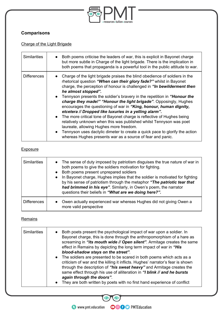

## **Comparisons**

## Charge of the Light Brigade

| <b>Similarities</b> | Both poems criticise the leaders of war, this is explicit in Bayonet charge<br>but more subtle in Charge of the light brigade. There is the implication in<br>both poems that propaganda is a powerful tool in the public attitude to war.                                                                                                                                                                                                                                                                                                                                                                                                                                                                                                                                                                                                                                       |
|---------------------|----------------------------------------------------------------------------------------------------------------------------------------------------------------------------------------------------------------------------------------------------------------------------------------------------------------------------------------------------------------------------------------------------------------------------------------------------------------------------------------------------------------------------------------------------------------------------------------------------------------------------------------------------------------------------------------------------------------------------------------------------------------------------------------------------------------------------------------------------------------------------------|
| <b>Differences</b>  | Charge of the light brigade praises the blind obedience of soldiers in the<br>rhetorical question "When can their glory fade?" whilst in Bayonet<br>charge, the perception of honour is challenged in "In bewilderment then<br>he almost stopped".<br>• Tennyson presents the soldier's bravery in the repetition in "Honour the<br>charge they made!" "Honour the light brigade". Opposingly, Hughes<br>encourages the questioning of war in "King, honour, human dignity,<br>etcetera // Dropped like luxuries in a yelling alarm".<br>• The more critical tone of Bayonet charge is reflective of Hughes being<br>relatively unknown when this was published whilst Tennyson was poet<br>laureate, allowing Hughes more freedom.<br>Tennyson uses dactylic dimeter to create a quick pace to glorify the action<br>whereas Hughes presents war as a source of fear and panic. |

## **Exposure**

| <b>Similarities</b> | The sense of duty imposed by patriotism disguises the true nature of war in<br>$\bullet$<br>both poems to give the soldiers motivation for fighting.<br>Both poems present unprepared soldiers<br>$\bullet$<br>In Bayonet charge, Hughes implies that the soldier is motivated for fighting<br>$\bullet$<br>by his sense of patriotism through the metaphor "The patriotic tear that<br>had brimmed in his eye". Similarly, in Owen's poem, the narrator<br>questions their beliefs in "What are we doing here?". |
|---------------------|-------------------------------------------------------------------------------------------------------------------------------------------------------------------------------------------------------------------------------------------------------------------------------------------------------------------------------------------------------------------------------------------------------------------------------------------------------------------------------------------------------------------|
| <b>Differences</b>  | Owen actually experienced war whereas Hughes did not giving Owen a<br>$\bullet$<br>more valid perspective                                                                                                                                                                                                                                                                                                                                                                                                         |

## **Remains**

| <b>Similarities</b> | Both poets present the psychological impact of war upon a soldier. In<br>Bayonet charge, this is done through the anthropomorphism of a hare as<br>screaming in "its mouth wide // Open silent". Armitage creates the same<br>effect in Remains by depicting the long term impact of war in "His<br>blood-shadow stays on the street".                                                                                  |
|---------------------|-------------------------------------------------------------------------------------------------------------------------------------------------------------------------------------------------------------------------------------------------------------------------------------------------------------------------------------------------------------------------------------------------------------------------|
|                     | • The soldiers are presented to be scared in both poems which acts as a<br>criticism of war and the killing it inflicts. Hughes' narrator's fear is shown<br>through the description of "his sweat heavy" and Armitage creates the<br>same effect through his use of alliteration in "I blink // and he bursts<br>again through the doors".<br>They are both written by poets with no first hand experience of conflict |

 $\bigcirc$   $\bigcirc$